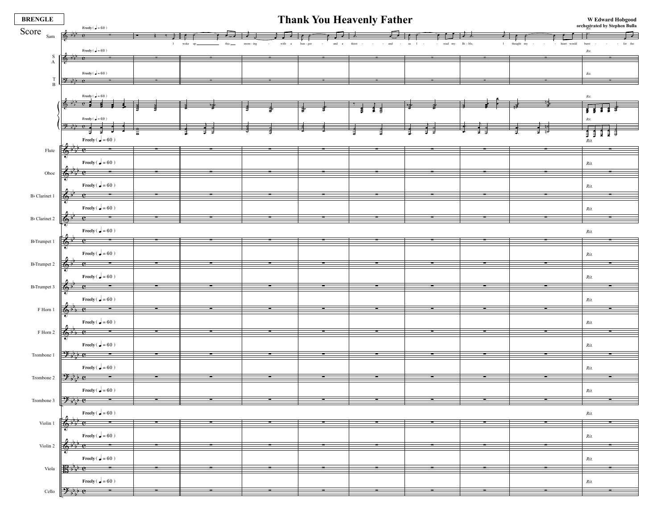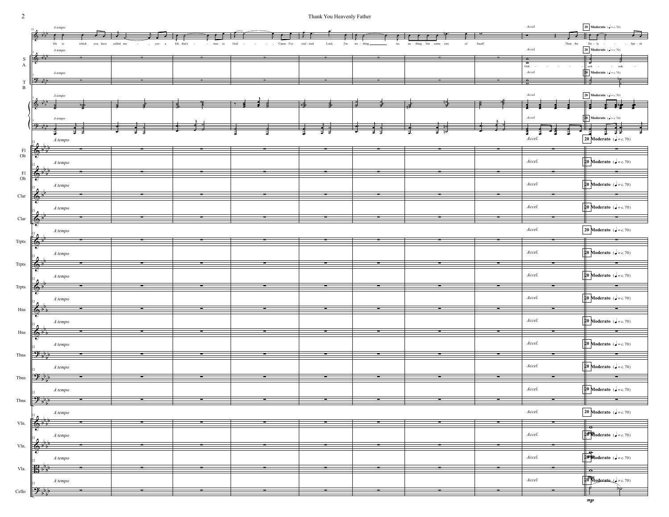2

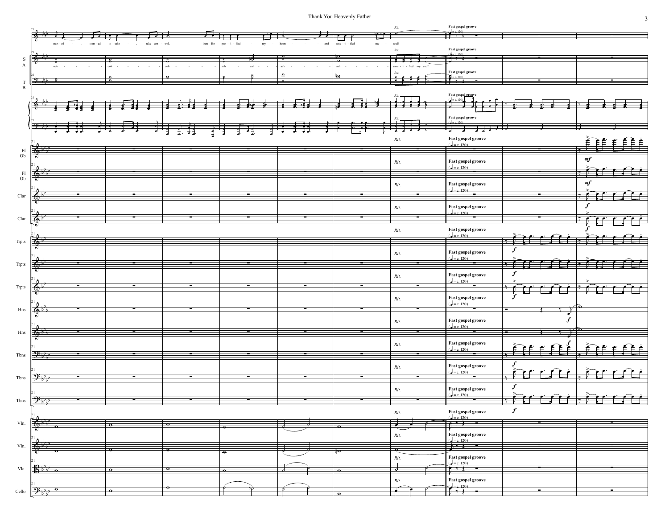|                      |                                  |                                                  |                                                      |               |                               | $Rit$ .                                              | <b>Fast gospel groove</b>                                                               |
|----------------------|----------------------------------|--------------------------------------------------|------------------------------------------------------|---------------|-------------------------------|------------------------------------------------------|-----------------------------------------------------------------------------------------|
|                      | $\frac{21}{6}$                   |                                                  | $\overline{\phantom{a}}$<br>$\overline{\phantom{a}}$ |               | ÷<br>$\overline{\phantom{a}}$ | — cr                                                 | $\left( \frac{1}{2} \right) = c. 120$                                                   |
|                      |                                  |                                                  |                                                      |               |                               |                                                      |                                                                                         |
|                      | start - ed<br>start - ed         | take<br>take<br>trol.                            | then He<br>fied                                      | and           | sanc - ti - fied              | soul!                                                | <b>Fast gospel groove</b>                                                               |
|                      |                                  |                                                  |                                                      |               |                               | Rit.                                                 | $A = c.120$                                                                             |
| S                    | るり                               |                                                  |                                                      |               |                               | $\overline{\cdots}$                                  | $\frac{1}{2}$                                                                           |
| $\mathbf A$          | ooh                              | ooh                                              | a <sub>ah</sub><br>aah                               | $_{\rm{ash}}$ | ${\sf a} {\sf a} {\sf h}$     | sanc - ti - fied my soul!                            |                                                                                         |
|                      |                                  |                                                  |                                                      | $\mathbf{a}$  | 18                            | $Rit$ .                                              | Fast gospel groove                                                                      |
| T                    | サマト                              |                                                  |                                                      |               |                               | $\longrightarrow$                                    | $\frac{6}{7} = 6.120$                                                                   |
| $\mathbf{B}$         |                                  |                                                  |                                                      |               |                               |                                                      |                                                                                         |
|                      |                                  |                                                  |                                                      |               |                               | Rit.                                                 |                                                                                         |
|                      |                                  |                                                  |                                                      |               |                               |                                                      | Fast gospel groove                                                                      |
|                      | 传                                |                                                  |                                                      |               |                               | , , , ,                                              |                                                                                         |
|                      |                                  |                                                  |                                                      |               |                               |                                                      |                                                                                         |
|                      |                                  |                                                  |                                                      |               |                               | Rit.                                                 | Fast gospel groove<br>$= 120$                                                           |
|                      | D - 1                            |                                                  |                                                      |               |                               |                                                      | ≠ारु                                                                                    |
|                      |                                  | Ţ.                                               |                                                      |               |                               |                                                      |                                                                                         |
|                      |                                  |                                                  |                                                      |               |                               | Rit.                                                 | Fast gospel groove<br>千佳王<br>丰丰<br>Ē                                                    |
|                      |                                  |                                                  |                                                      |               |                               |                                                      | $\epsilon = c.120$<br>$\cdot$                                                           |
| $\frac{Fl}{Ob}$      |                                  |                                                  |                                                      |               |                               |                                                      |                                                                                         |
|                      |                                  |                                                  |                                                      |               |                               | $Rit$ .                                              | $m\!f$<br>Fast gospel groove                                                            |
|                      |                                  |                                                  |                                                      |               |                               |                                                      | $\epsilon = c.120$                                                                      |
| $_{\rm Ob}^{\rm Fl}$ |                                  |                                                  |                                                      |               |                               |                                                      | $\mathbf{r}$ . $\mathbf{r}$ , $\mathbf{r}$                                              |
|                      |                                  |                                                  |                                                      |               |                               |                                                      |                                                                                         |
|                      |                                  |                                                  |                                                      |               |                               | $Rit$ .                                              | m f<br>Fast gospel groove                                                               |
|                      |                                  |                                                  |                                                      |               |                               |                                                      | $\epsilon = c$ . 120)<br>$\sim$ $\sim$                                                  |
| ${\it Clar}$         |                                  |                                                  |                                                      |               |                               |                                                      |                                                                                         |
|                      |                                  |                                                  |                                                      |               |                               |                                                      | Fast gospel groove                                                                      |
|                      |                                  |                                                  |                                                      |               |                               | Rit.                                                 | $\epsilon = c.120$                                                                      |
| Clar                 |                                  |                                                  |                                                      |               |                               |                                                      | ਿ€<br>←                                                                                 |
|                      |                                  |                                                  |                                                      |               |                               |                                                      |                                                                                         |
|                      |                                  |                                                  |                                                      |               |                               | $Rit$ .                                              | Fast gospel groove                                                                      |
|                      |                                  |                                                  |                                                      |               |                               |                                                      | $\epsilon = c.120$                                                                      |
| Trpts                |                                  |                                                  |                                                      |               |                               |                                                      |                                                                                         |
|                      |                                  |                                                  |                                                      |               |                               | Rit.                                                 | <b>Fast gospel groove</b>                                                               |
|                      |                                  |                                                  |                                                      |               |                               |                                                      | $\epsilon = c.120$                                                                      |
| Trpts                |                                  |                                                  |                                                      |               |                               |                                                      | $\rightarrow$                                                                           |
|                      |                                  |                                                  |                                                      |               |                               |                                                      |                                                                                         |
|                      |                                  |                                                  |                                                      |               |                               | Rit.                                                 | Fast gospel groove                                                                      |
|                      |                                  |                                                  |                                                      |               |                               |                                                      | $\epsilon = c$ . 120)                                                                   |
| Trpts                |                                  |                                                  |                                                      |               |                               |                                                      |                                                                                         |
|                      |                                  |                                                  |                                                      |               |                               | Rit.                                                 | Fast gospel groove                                                                      |
|                      |                                  |                                                  |                                                      |               |                               |                                                      | $\epsilon = c.120$                                                                      |
| Hns                  |                                  |                                                  |                                                      |               |                               |                                                      |                                                                                         |
|                      |                                  |                                                  |                                                      |               |                               |                                                      |                                                                                         |
|                      |                                  |                                                  |                                                      |               |                               | Rit.                                                 | Fast gospel groove                                                                      |
| Hns                  |                                  |                                                  |                                                      |               |                               |                                                      | $\epsilon = c.120$<br>πο                                                                |
|                      | ₩                                |                                                  |                                                      |               |                               |                                                      |                                                                                         |
|                      |                                  |                                                  |                                                      |               |                               | Rit.                                                 | Fast gospel groove                                                                      |
|                      |                                  |                                                  |                                                      |               |                               |                                                      | $\hat{+}\hat{+}$<br>$\epsilon = c.120$                                                  |
| Tbns                 | ジャト                              |                                                  |                                                      |               |                               |                                                      |                                                                                         |
|                      |                                  |                                                  |                                                      |               |                               |                                                      |                                                                                         |
|                      |                                  |                                                  |                                                      |               |                               | Rit.                                                 | <b>Fast gospel groove</b><br>$\epsilon = c.120$<br>$\epsilon$                           |
| Tbns                 | $9 + 1$                          |                                                  |                                                      |               |                               |                                                      | $\cdot$ $\cdot$                                                                         |
|                      |                                  |                                                  |                                                      |               |                               |                                                      |                                                                                         |
|                      |                                  |                                                  |                                                      |               |                               | Rit.                                                 | f<br>Fast gospel groove                                                                 |
|                      |                                  |                                                  |                                                      |               |                               |                                                      | $\epsilon = c$ , 120)<br><del>řenerní křenere</del>                                     |
| Tbns                 | $\mathcal{F}_{\mathbb{R}^p}$     |                                                  |                                                      |               |                               |                                                      | $\overline{\phantom{a}}$<br>--                                                          |
|                      |                                  |                                                  |                                                      |               |                               |                                                      | $\boldsymbol{f}$<br>Fast gospel groove                                                  |
|                      |                                  |                                                  |                                                      |               |                               | $Rit$ .                                              |                                                                                         |
| Vln.                 | $\sqrt{2}$                       | $\circ$<br>$\overline{\bullet}$                  |                                                      |               |                               | ਢ                                                    | $\begin{array}{ c c c c }\n\hline\n & 7 & & -\n\end{array}$                             |
|                      |                                  |                                                  |                                                      |               |                               |                                                      |                                                                                         |
|                      |                                  |                                                  |                                                      |               |                               | $\it{Rit}$                                           | <b>Fast gospel groove</b>                                                               |
|                      |                                  |                                                  |                                                      |               |                               |                                                      |                                                                                         |
| Vln.                 | $\overline{(\overline{a})^{2+}}$ |                                                  |                                                      |               | $\overline{\mathbf{p}}$       | $\bullet$                                            | $\left(\frac{1}{2} = c. 120\right)$<br>- 1                                              |
|                      |                                  |                                                  |                                                      |               |                               |                                                      | <b>Fast gospel groove</b>                                                               |
|                      |                                  |                                                  |                                                      |               |                               | Rit.                                                 |                                                                                         |
| Vla.                 | $\mathbb{B}^{\frac{p}{p}}$       | $\overline{\bullet}$<br>$\overline{\phantom{a}}$ | $\overline{\bullet}$                                 |               | $\overline{\bullet}$          | $\overline{\phantom{a}}$                             | $\begin{array}{ c c c c }\n\hline\n& 7 & & - \ \hline\n& 7 & & - \ \hline\n\end{array}$ |
|                      |                                  |                                                  |                                                      |               |                               |                                                      |                                                                                         |
|                      |                                  |                                                  |                                                      |               |                               | $Rit$ .                                              | ${\bf Fast}$ gospel groove                                                              |
|                      | Cello $\frac{1}{2}$              | $\overline{\phantom{0}}$                         | ₽                                                    |               |                               | $\overline{\phantom{a}}$<br>$\overline{\phantom{a}}$ | $\frac{1}{2}$ = c. 120)<br>—                                                            |
|                      |                                  |                                                  |                                                      |               |                               |                                                      |                                                                                         |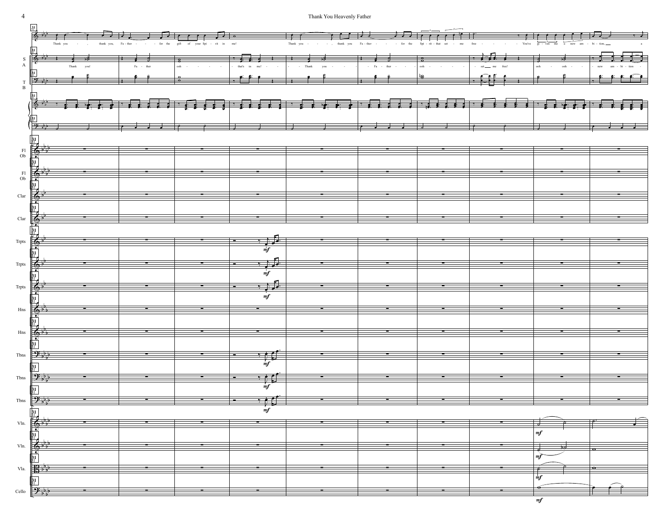$\overline{4}$ 



 $\it mf$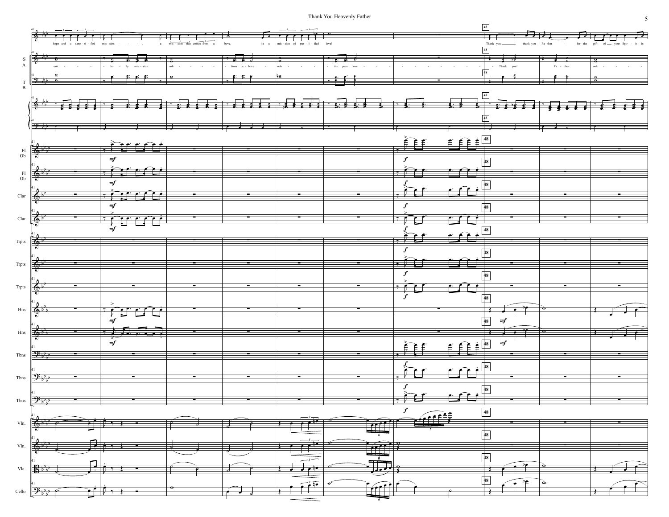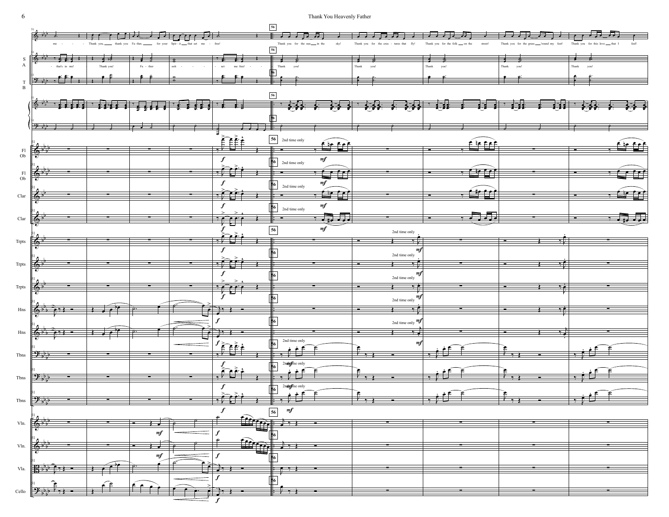6

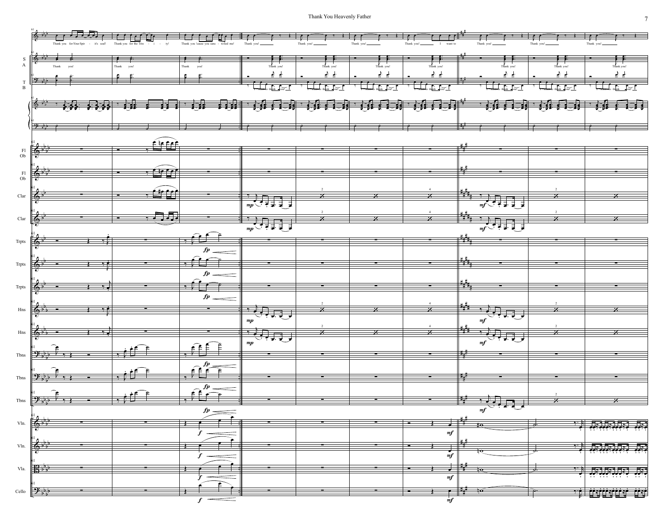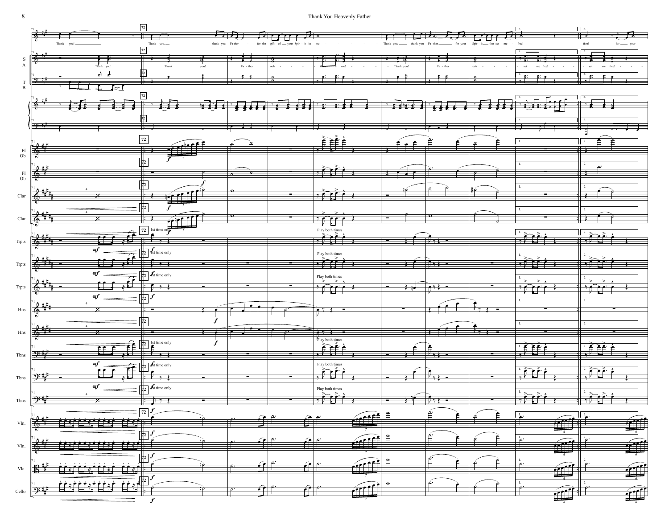8